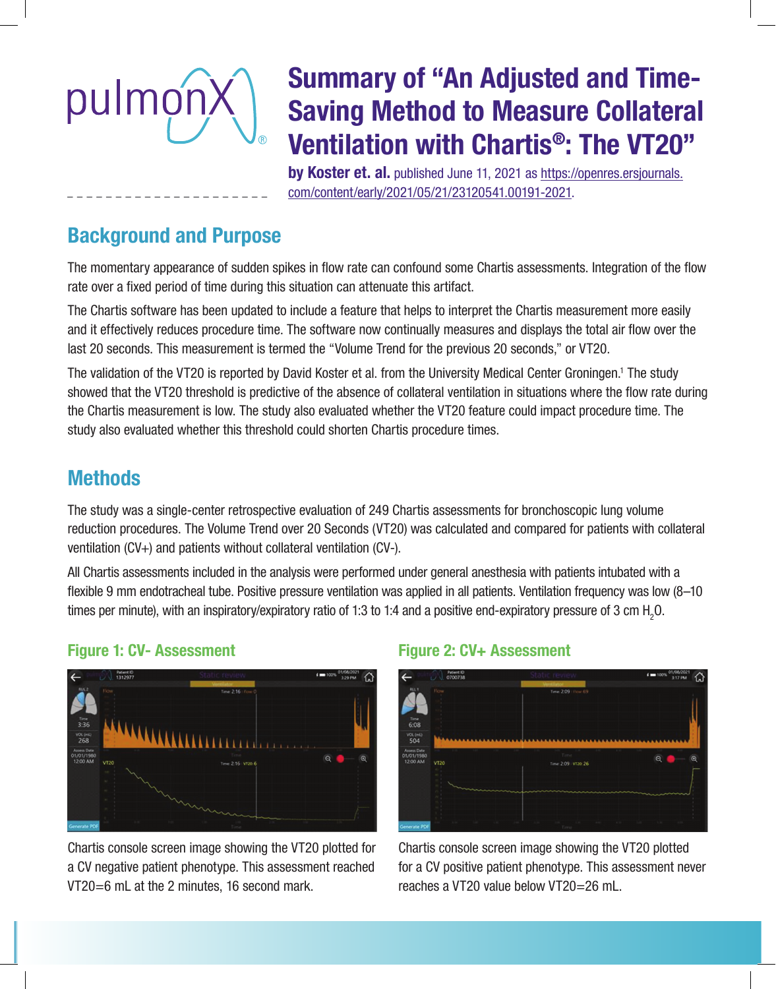

# Summary of "An Adjusted and Time-Saving Method to Measure Collateral Ventilation with Chartis®: The VT20"

by Koster et. al. published June 11, 2021 as https://openres.ersjournals. com/content/early/2021/05/21/23120541.00191-2021.

# Background and Purpose

The momentary appearance of sudden spikes in flow rate can confound some Chartis assessments. Integration of the flow rate over a fixed period of time during this situation can attenuate this artifact.

The Chartis software has been updated to include a feature that helps to interpret the Chartis measurement more easily and it effectively reduces procedure time. The software now continually measures and displays the total air flow over the last 20 seconds. This measurement is termed the "Volume Trend for the previous 20 seconds," or VT20.

The validation of the VT20 is reported by David Koster et al. from the University Medical Center Groningen.<sup>1</sup> The study showed that the VT20 threshold is predictive of the absence of collateral ventilation in situations where the flow rate during the Chartis measurement is low. The study also evaluated whether the VT20 feature could impact procedure time. The study also evaluated whether this threshold could shorten Chartis procedure times.

# **Methods**

The study was a single-center retrospective evaluation of 249 Chartis assessments for bronchoscopic lung volume reduction procedures. The Volume Trend over 20 Seconds (VT20) was calculated and compared for patients with collateral ventilation (CV+) and patients without collateral ventilation (CV-).

All Chartis assessments included in the analysis were performed under general anesthesia with patients intubated with a flexible 9 mm endotracheal tube. Positive pressure ventilation was applied in all patients. Ventilation frequency was low (8–10 times per minute), with an inspiratory/expiratory ratio of 1:3 to 1:4 and a positive end-expiratory pressure of 3 cm H<sub>2</sub>O.



Chartis console screen image showing the VT20 plotted for a CV negative patient phenotype. This assessment reached VT20=6 mL at the 2 minutes, 16 second mark.

### Figure 1: CV- Assessment Figure 2: CV+ Assessment



Chartis console screen image showing the VT20 plotted for a CV positive patient phenotype. This assessment never reaches a VT20 value below VT20=26 mL.